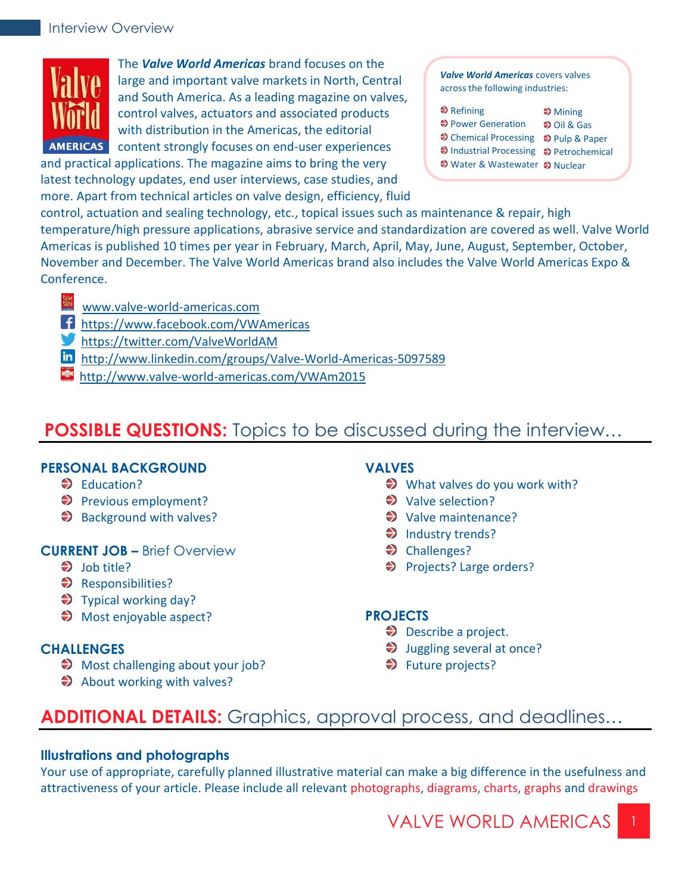

The *Valve World Americas* brand focuses on the large and important valve markets in North, Central and South America. As a leading magazine on valves, control valves, actuators and associated products with distribution in the Americas, the editorial AMERICAS content strongly focuses on end-user experiences

and practical applications. The magazine aims to bring the very latest technology updates, end user interviews, case studies, and more. Apart from technical articles on valve design, efficiency, fluid

*Valve World Americas* covers valves across the following industries:

| $\triangle$ Refining                    | $\bigstar$ Mining    |
|-----------------------------------------|----------------------|
| ♦ Power Generation                      | $\bigcirc$ Oil & Gas |
| → Chemical Processing → Pulp & Paper    |                      |
| → Industrial Processing → Petrochemical |                      |
| ♦ Water & Wastewater ♦ Nuclear          |                      |

control, actuation and sealing technology, etc., topical issues such as maintenance & repair, high temperature/high pressure applications, abrasive service and standardization are covered as well. Valve World Americas is published 10 times per year in February, March, April, May, June, August, September, October, November and December. The Valve World Americas brand also includes the Valve World Americas Expo & Conference.

- [www.valve-world-americas.com](http://www.pumpengineer.net/)
- [https://www.facebook.com/VWAmericas](https://www.facebook.com/engineer.pump)
- [https://twitter.com/ValveWorldAM](https://twitter.com/Pump_Engr)
- [http://www.linkedin.com/groups/Valve-World-Americas-5097589](http://www.linkedin.com/groups/Pump-Engineer-Group-4337439)
- http://www.valve-world-americas.com/VWAm2015

## **POSSIBLE QUESTIONS:** Topics to be discussed during the interview…

## **PERSONAL BACKGROUND**

- **◆** Education?
- Previous employment?
- $\bigcirc$  Background with valves?

## **CURRENT JOB –** Brief Overview

- $\bigcirc$  Iob title?
- Responsibilities?
- $\blacktriangleright$  Typical working day?
- ◆ Most enjoyable aspect?

## **CHALLENGES**

- $\bigcirc$  Most challenging about your job?
- $\Rightarrow$  About working with valves?

## **VALVES**

- $\implies$  What valves do you work with?
- **◆** Valve selection?
- **◆** Valve maintenance?
- $\implies$  Industry trends?
- **◆** Challenges?
- ♦ Projects? Large orders?

## **PROJECTS**

- $\bigcirc$  Describe a project.
- $\bigcirc$  Juggling several at once?
- **◆** Future projects?

# **ADDITIONAL DETAILS:** Graphics, approval process, and deadlines…

## **Illustrations and photographs**

Your use of appropriate, carefully planned illustrative material can make a big difference in the usefulness and attractiveness of your article. Please include all relevant photographs, diagrams, charts, graphs and drawings

VALVE WORLD AMERICAS 1